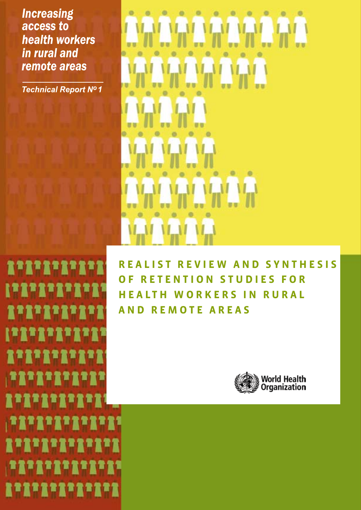**Increasing** access to **health workers** in rural and remote areas

**Technical Report Nº1** 

**ייניויני** 

î



**r e a l i s t r e v i e w a n d s y n t h e s i s OF RETENTION STUDIES FOR ERS IN RURAL and remote areas**

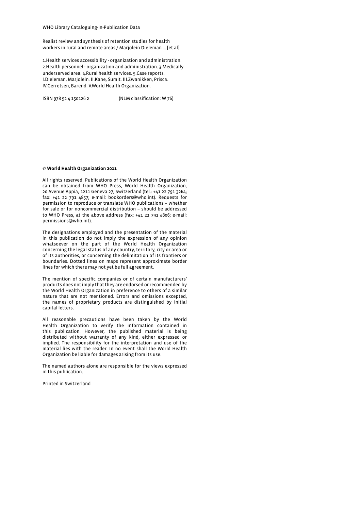WHO Library Cataloguing-in-Publication Data

Realist review and synthesis of retention studies for health workers in rural and remote areas / Marjolein Dieleman … [et al].

1.Health services accessibility - organization and administration. 2.Health personnel - organization and administration. 3.Medically underserved area. 4.Rural health services. 5.Case reports. I.Dieleman, Marjolein. II.Kane, Sumit. III.Zwanikken, Prisca. IV.Gerretsen, Barend. V.World Health Organization.

ISBN 978 92 4 150126 2 (NLM classification: W 76)

#### **© World Health Organization 2011**

All rights reserved. Publications of the World Health Organization can be obtained from WHO Press, World Health Organization, 20 Avenue Appia, 1211 Geneva 27, Switzerland (tel.: +41 22 791 3264; fax: +41 22 791 4857; e-mail: bookorders@who.int). Requests for permission to reproduce or translate WHO publications – whether for sale or for noncommercial distribution – should be addressed to WHO Press, at the above address (fax: +41 22 791 4806; e-mail: permissions@who.int).

The designations employed and the presentation of the material in this publication do not imply the expression of any opinion whatsoever on the part of the World Health Organization concerning the legal status of any country, territory, city or area or of its authorities, or concerning the delimitation of its frontiers or boundaries. Dotted lines on maps represent approximate border lines for which there may not yet be full agreement.

The mention of specific companies or of certain manufacturers' products does not imply that they are endorsed or recommended by the World Health Organization in preference to others of a similar nature that are not mentioned. Errors and omissions excepted, the names of proprietary products are distinguished by initial capital letters.

All reasonable precautions have been taken by the World Health Organization to verify the information contained in this publication. However, the published material is being distributed without warranty of any kind, either expressed or implied. The responsibility for the interpretation and use of the material lies with the reader. In no event shall the World Health Organization be liable for damages arising from its use.

The named authors alone are responsible for the views expressed in this publication.

Printed in Switzerland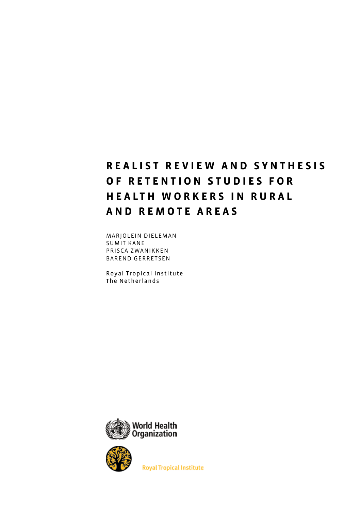# **REALIST REVIEW AND SYNTHESIS OF RETENTION STUDIES FOR h ealt h wo rkers in rural and rem o te areas**

Marjolein Dieleman Sumit Kane Prisca Zwanikken Barend Gerretsen

Royal Tropical Institute The Netherlands





**Royal Tropical Institute**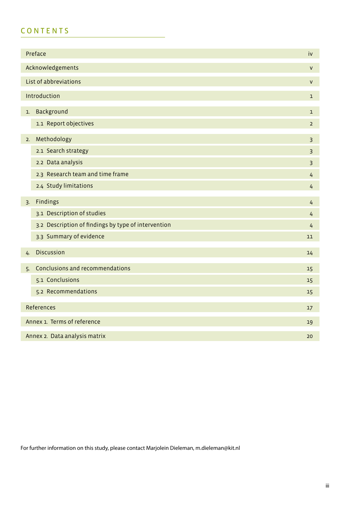# CONTENTS

| Preface                       |                                                     |                |  |  |  |  |  |
|-------------------------------|-----------------------------------------------------|----------------|--|--|--|--|--|
| Acknowledgements              |                                                     |                |  |  |  |  |  |
|                               | List of abbreviations                               | $\mathsf{V}$   |  |  |  |  |  |
|                               | Introduction                                        |                |  |  |  |  |  |
| Background<br>$\mathbf{1}$ .  |                                                     |                |  |  |  |  |  |
|                               | 1.1 Report objectives                               | $\overline{2}$ |  |  |  |  |  |
| 2.                            | Methodology                                         | 3              |  |  |  |  |  |
|                               | 2.1 Search strategy                                 | 3              |  |  |  |  |  |
|                               | 2.2 Data analysis                                   | 3              |  |  |  |  |  |
|                               | 2.3 Research team and time frame                    | 4              |  |  |  |  |  |
|                               | 2.4 Study limitations                               | 4              |  |  |  |  |  |
| 3.                            | Findings                                            | 4              |  |  |  |  |  |
|                               | 3.1 Description of studies                          | 4              |  |  |  |  |  |
|                               | 3.2 Description of findings by type of intervention |                |  |  |  |  |  |
|                               | 3.3 Summary of evidence                             | 11             |  |  |  |  |  |
| 4.                            | <b>Discussion</b>                                   | 14             |  |  |  |  |  |
| 5.                            | Conclusions and recommendations                     | 15             |  |  |  |  |  |
|                               | 5.1 Conclusions                                     | 15             |  |  |  |  |  |
|                               | 5.2 Recommendations                                 | 15             |  |  |  |  |  |
| References                    |                                                     |                |  |  |  |  |  |
| Annex 1. Terms of reference   |                                                     |                |  |  |  |  |  |
| Annex 2. Data analysis matrix |                                                     |                |  |  |  |  |  |

For further information on this study, please contact Marjolein Dieleman, m.dieleman@kit.nl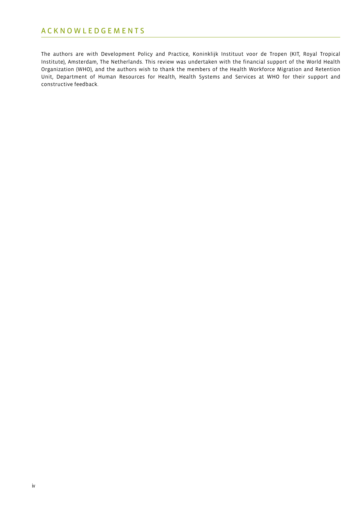# ACKNOWLEDGEMENTS

The authors are with Development Policy and Practice, Koninklijk Instituut voor de Tropen (KIT, Royal Tropical Institute), Amsterdam, The Netherlands. This review was undertaken with the financial support of the World Health Organization (WHO), and the authors wish to thank the members of the Health Workforce Migration and Retention Unit, Department of Human Resources for Health, Health Systems and Services at WHO for their support and constructive feedback.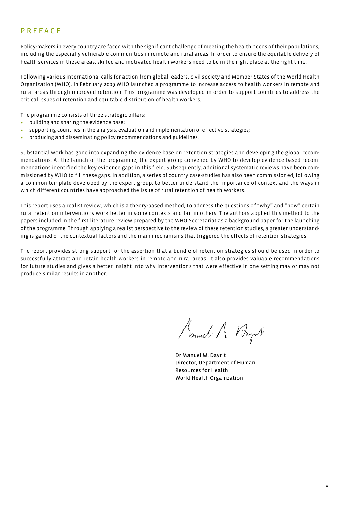# **P R E F A C E**

Policy-makers in every country are faced with the significant challenge of meeting the health needs of their populations, including the especially vulnerable communities in remote and rural areas. In order to ensure the equitable delivery of health services in these areas, skilled and motivated health workers need to be in the right place at the right time.

Following various international calls for action from global leaders, civil society and Member States of the World Health Organization (WHO), in February 2009 WHO launched a programme to increase access to health workers in remote and rural areas through improved retention. This programme was developed in order to support countries to address the critical issues of retention and equitable distribution of health workers.

The programme consists of three strategic pillars:

- building and sharing the evidence base;
- supporting countries in the analysis, evaluation and implementation of effective strategies;
- producing and disseminating policy recommendations and guidelines.

Substantial work has gone into expanding the evidence base on retention strategies and developing the global recommendations. At the launch of the programme, the expert group convened by WHO to develop evidence-based recommendations identified the key evidence gaps in this field. Subsequently, additional systematic reviews have been commissioned by WHO to fill these gaps. In addition, a series of country case-studies has also been commissioned, following a common template developed by the expert group, to better understand the importance of context and the ways in which different countries have approached the issue of rural retention of health workers.

This report uses a realist review, which is a theory-based method, to address the questions of "why" and "how" certain rural retention interventions work better in some contexts and fail in others. The authors applied this method to the papers included in the first literature review prepared by the WHO Secretariat as a background paper for the launching of the programme. Through applying a realist perspective to the review of these retention studies, a greater understanding is gained of the contextual factors and the main mechanisms that triggered the effects of retention strategies.

The report provides strong support for the assertion that a bundle of retention strategies should be used in order to successfully attract and retain health workers in remote and rural areas. It also provides valuable recommendations for future studies and gives a better insight into why interventions that were effective in one setting may or may not produce similar results in another.

Smul M. Baynt

Dr Manuel M. Dayrit Director, Department of Human Resources for Health World Health Organization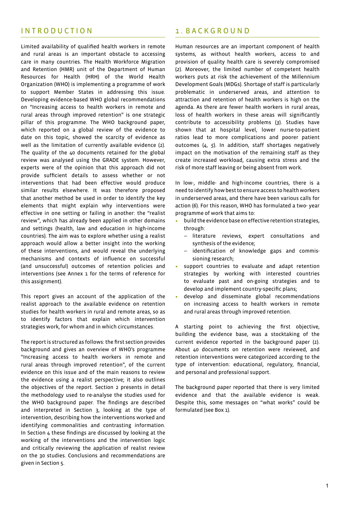# **INTRODUCTION**

Limited availability of qualified health workers in remote and rural areas is an important obstacle to accessing care in many countries. The Health Workforce Migration and Retention (HMR) unit of the Department of Human Resources for Health (HRH) of the World Health Organization (WHO) is implementing a programme of work to support Member States in addressing this issue. Developing evidence-based WHO global recommendations on "Increasing access to health workers in remote and rural areas through improved retention" is one strategic pillar of this programme. The WHO background paper, which reported on a global review of the evidence to date on this topic, showed the scarcity of evidence as well as the limitation of currently available evidence (*1*). The quality of the 40 documents retained for the global review was analysed using the GRADE system. However, experts were of the opinion that this approach did not provide sufficient details to assess whether or not interventions that had been effective would produce similar results elsewhere. It was therefore proposed that another method be used in order to identify the key elements that might explain why interventions were effective in one setting or failing in another: the "realist review", which has already been applied in other domains and settings (health, law and education in high-income countries). The aim was to explore whether using a realist approach would allow a better insight into the working of these interventions, and would reveal the underlying mechanisms and contexts of influence on successful (and unsuccessful) outcomes of retention policies and interventions (see Annex 1 for the terms of reference for this assignment).

This report gives an account of the application of the realist approach to the available evidence on retention studies for health workers in rural and remote areas, so as to identify factors that explain which intervention strategies work, for whom and in which circumstances.

The report is structured as follows: the first section provides background and gives an overview of WHO's programme "Increasing access to health workers in remote and rural areas through improved retention", of the current evidence on this issue and of the main reasons to review the evidence using a realist perspective; it also outlines the objectives of the report. Section 2 presents in detail the methodology used to re-analyse the studies used for the WHO background paper. The findings are described and interpreted in Section 3, looking at the type of intervention, describing how the interventions worked and identifying commonalities and contrasting information. In Section 4 these findings are discussed by looking at the working of the interventions and the intervention logic and critically reviewing the application of realist review on the 30 studies. Conclusions and recommendations are given in Section 5.

# 1 **BACKGROUND**

Human resources are an important component of health systems, as without health workers, access to and provision of quality health care is severely compromised (*2*). Moreover, the limited number of competent health workers puts at risk the achievement of the Millennium Development Goals (MDGs). Shortage of staff is particularly problematic in underserved areas, and attention to attraction and retention of health workers is high on the agenda. As there are fewer health workers in rural areas, loss of health workers in these areas will significantly contribute to accessibility problems (*3*). Studies have shown that at hospital level, lower nurse-to-patient ratios lead to more complications and poorer patient outcomes (*4*, *5*). In addition, staff shortages negatively impact on the motivation of the remaining staff as they create increased workload, causing extra stress and the risk of more staff leaving or being absent from work.

In low-, middle- and high-income countries, there is a need to identify how best to ensure access to health workers in underserved areas, and there have been various calls for action (*6*). For this reason, WHO has formulated a two- year programme of work that aims to:

- build the evidence base on effective retention strategies, through:
	- − literature reviews, expert consultations and synthesis of the evidence;
	- − identification of knowledge gaps and commissioning research;
- support countries to evaluate and adapt retention strategies by working with interested countries to evaluate past and on-going strategies and to develop and implement country-specific plans;
- develop and disseminate global recommendations on increasing access to health workers in remote and rural areas through improved retention.

A starting point to achieving the first objective, building the evidence base, was a stocktaking of the current evidence reported in the background paper (*1*). About 40 documents on retention were reviewed, and retention interventions were categorized according to the type of intervention: educational, regulatory, financial, and personal and professional support.

The background paper reported that there is very limited evidence and that the available evidence is weak. Despite this, some messages on "what works" could be formulated (see Box 1).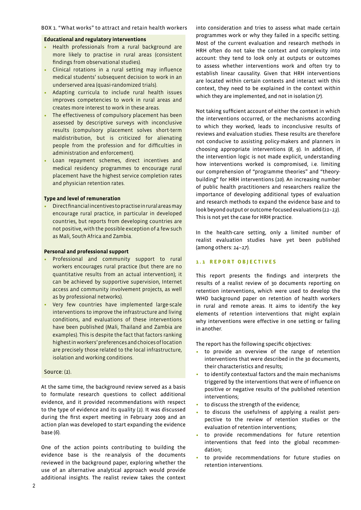#### BOX 1. "What works" to attract and retain health workers

#### **Educational and regulatory interventions**

- Health professionals from a rural background are more likely to practise in rural areas (consistent findings from observational studies).
- Clinical rotations in a rural setting may influence medical students' subsequent decision to work in an underserved area (quasi-randomized trials).
- Adapting curricula to include rural health issues improves competencies to work in rural areas and creates more interest to work in these areas.
- The effectiveness of compulsory placement has been assessed by descriptive surveys with inconclusive results (compulsory placement solves short-term maldistribution, but is criticized for alienating people from the profession and for difficulties in administration and enforcement).
- Loan repayment schemes, direct incentives and medical residency programmes to encourage rural placement have the highest service completion rates and physician retention rates.

#### **Type and level of remuneration**

• Directfinancialincentivestopractiseinruralareasmay encourage rural practice, in particular in developed countries, but reports from developing countries are not positive, with the possible exception of a few such as Mali, South Africa and Zambia.

#### **Personal and professional support**

- Professional and community support to rural workers encourages rural practice (but there are no quantitative results from an actual intervention); it can be achieved by supportive supervision, Internet access and community involvement projects, as well as by professional networks).
- Very few countries have implemented large-scale interventions to improve the infrastructure and living conditions, and evaluations of these interventions have been published (Mali, Thailand and Zambia are examples). This is despite the fact that factors ranking highest in workers' preferences and choices of location are precisely those related to the local infrastructure, isolation and working conditions.

#### Source: (*1*).

At the same time, the background review served as a basis to formulate research questions to collect additional evidence, and it provided recommendations with respect to the type of evidence and its quality (*1*). It was discussed during the first expert meeting in February 2009 and an action plan was developed to start expanding the evidence base (*6*).

One of the action points contributing to building the evidence base is the re-analysis of the documents reviewed in the background paper, exploring whether the use of an alternative analytical approach would provide additional insights. The realist review takes the context

into consideration and tries to assess what made certain programmes work or why they failed in a specific setting. Most of the current evaluation and research methods in HRH often do not take the context and complexity into account: they tend to look only at outputs or outcomes to assess whether interventions work and often try to establish linear causality. Given that HRH interventions are located within certain contexts and interact with this context, they need to be explained in the context within which they are implemented, and not in isolation (*7*).

Not taking sufficient account of either the context in which the interventions occurred, or the mechanisms according to which they worked, leads to inconclusive results of reviews and evaluation studies. These results are therefore not conducive to assisting policy-makers and planners in choosing appropriate interventions (*8*, *9*). In addition, if the intervention logic is not made explicit, understanding how interventions worked is compromised, i.e. limiting our comprehension of "programme theories" and "theorybuilding" for HRH interventions (*10*). An increasing number of public health practitioners and researchers realize the importance of developing additional types of evaluation and research methods to expand the evidence base and to look beyond output or outcome-focused evaluations (*11–13*). This is not yet the case for HRH practice.

In the health-care setting, only a limited number of realist evaluation studies have yet been published (among others: *14–17*).

### **1.1 R e po rt o bjectives**

This report presents the findings and interprets the results of a realist review of 30 documents reporting on retention interventions, which were used to develop the WHO background paper on retention of health workers in rural and remote areas. It aims to identify the key elements of retention interventions that might explain why interventions were effective in one setting or failing in another.

The report has the following specific objectives:

- to provide an overview of the range of retention interventions that were described in the 30 documents, their characteristics and results;
- to identify contextual factors and the main mechanisms triggered by the interventions that were of influence on positive or negative results of the published retention interventions;
- to discuss the strength of the evidence;
- to discuss the usefulness of applying a realist perspective to the review of retention studies or the evaluation of retention interventions;
- to provide recommendations for future retention interventions that feed into the global recommendation;
- to provide recommendations for future studies on retention interventions.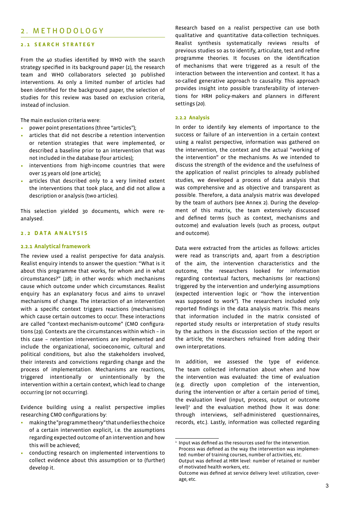# 2. M ethodolog y

# **2.1 S earc h strategy**

From the 40 studies identified by WHO with the search strategy specified in its background paper (*1*), the research team and WHO collaborators selected 30 published interventions. As only a limited number of articles had been identified for the background paper, the selection of studies for this review was based on exclusion criteria, instead of inclusion.

The main exclusion criteria were:

- power point presentations (three "articles");
- articles that did not describe a retention intervention or retention strategies that were implemented, or described a baseline prior to an intervention that was not included in the database (four articles);
- interventions from high-income countries that were over 15 years old (one article);
- articles that described only to a very limited extent the interventions that took place, and did not allow a description or analysis (two articles).

This selection yielded 30 documents, which were reanalysed.

# **2.2 D ata analysis**

#### **2.2.1 Analytical framework**

The review used a realist perspective for data analysis. Realist enquiry intends to answer the question: "What is it about this programme that works, for whom and in what circumstances?" (*18*); in other words: which mechanisms cause which outcome under which circumstances. Realist enquiry has an explanatory focus and aims to unravel mechanisms of change. The interaction of an intervention with a specific context triggers reactions (mechanisms) which cause certain outcomes to occur. These interactions are called "context-mechanism-outcome" (CMO configurations (*19*). Contexts are the circumstances within which – in this case – retention interventions are implemented and include the organizational, socioeconomic, cultural and political conditions, but also the stakeholders involved, their interests and convictions regarding change and the process of implementation. Mechanisms are reactions, triggered intentionally or unintentionally by the intervention within a certain context, which lead to change occurring (or not occurring).

Evidence building using a realist perspective implies researching CMO configurations by:

- making the "programme theory" that underlies the choice of a certain intervention explicit, i.e. the assumptions regarding expected outcome of an intervention and how this will be achieved;
- conducting research on implemented interventions to collect evidence about this assumption or to (further) develop it.

Research based on a realist perspective can use both qualitative and quantitative data-collection techniques. Realist synthesis systematically reviews results of previous studies so as to identify, articulate, test and refine programme theories. It focuses on the identification of mechanisms that were triggered as a result of the interaction between the intervention and context. It has a so-called generative approach to causality. This approach provides insight into possible transferability of interventions for HRH policy-makers and planners in different settings (*20*).

## **2.2.2 Analysis**

In order to identify key elements of importance to the success or failure of an intervention in a certain context using a realist perspective, information was gathered on the intervention, the context and the actual "working of the intervention" or the mechanisms. As we intended to discuss the strength of the evidence and the usefulness of the application of realist principles to already published studies, we developed a process of data analysis that was comprehensive and as objective and transparent as possible. Therefore, a data analysis matrix was developed by the team of authors (see Annex 2). During the development of this matrix, the team extensively discussed and defined terms (such as context, mechanisms and outcome) and evaluation levels (such as process, output and outcome).

Data were extracted from the articles as follows: articles were read as transcripts and, apart from a description of the aim, the intervention characteristics and the outcome, the researchers looked for information regarding contextual factors, mechanisms (or reactions) triggered by the intervention and underlying assumptions (expected intervention logic or "how the intervention was supposed to work"). The researchers included only reported findings in the data analysis matrix. This means that information included in the matrix consisted of reported study results or interpretation of study results by the authors in the discussion section of the report or the article; the researchers refrained from adding their own interpretations.

In addition, we assessed the type of evidence. The team collected information about when and how the intervention was evaluated: the time of evaluation (e.g. directly upon completion of the intervention, during the intervention or after a certain period of time), the evaluation level (input, process, output or outcome  $level)^1$  and the evaluation method (how it was done: through interviews, self-administered questionnaires, records, etc.). Lastly, information was collected regarding

<sup>&</sup>lt;sup>1</sup> Input was defined as the resources used for the intervention.

Process was defined as the way the intervention was implemented: number of training courses, number of activities, etc.

Output was defined at HRH level: number of retained or number of motivated health workers, etc.

Outcome was defined at service delivery level: utilization, coverage, etc.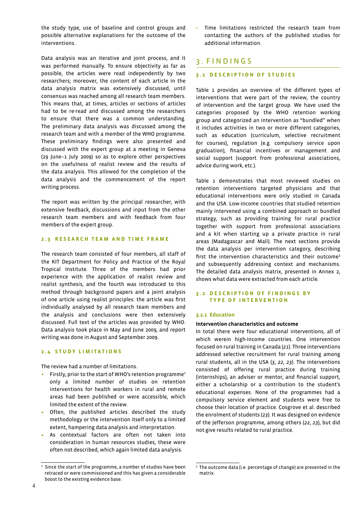the study type, use of baseline and control groups and possible alternative explanations for the outcome of the interventions.

Data analysis was an iterative and joint process, and it was performed manually. To ensure objectivity as far as possible, the articles were read independently by two researchers; moreover, the content of each article in the data analysis matrix was extensively discussed, until consensus was reached among all research team members. This means that, at times, articles or sections of articles had to be re-read and discussed among the researchers to ensure that there was a common understanding. The preliminary data analysis was discussed among the research team and with a member of the WHO programme. These preliminary findings were also presented and discussed with the expert group at a meeting in Geneva (29 June–1 July 2009) so as to explore other perspectives on the usefulness of realist review and the results of the data analysis. This allowed for the completion of the data analysis and the commencement of the report writing process.

The report was written by the principal researcher, with extensive feedback, discussions and input from the other research team members and with feedback from four members of the expert group.

# **2.3 R esearc h team and time frame**

The research team consisted of four members, all staff of the KIT Department for Policy and Practice of the Royal Tropical Institute. Three of the members had prior experience with the application of realist review and realist synthesis, and the fourth was introduced to this method through background papers and a joint analysis of one article using realist principles: the article was first individually analysed by all research team members and the analysis and conclusions were then extensively discussed. Full text of the articles was provided by WHO. Data analysis took place in May and June 2009, and report writing was done in August and September 2009.

#### **2.4 S tudy limitati o n s**

The review had a number of limitations.

- Firstly, prior to the start of WHO's retention programme<sup>2</sup> only a limited number of studies on retention interventions for health workers in rural and remote areas had been published or were accessible, which limited the extent of the review.
- Often, the published articles described the study methodology or the intervention itself only to a limited extent, hampering data analysis and interpretation.
- As contextual factors are often not taken into consideration in human resources studies, these were often not described, which again limited data analysis.

Time limitations restricted the research team from contacting the authors of the published studies for additional information.

# 3 . Findings

### **3.1 D escri p t i o n o f studies**

Table 1 provides an overview of the different types of interventions that were part of the review, the country of intervention and the target group. We have used the categories proposed by the WHO retention working group and categorized an intervention as "bundled" when it includes activities in two or more different categories, such as education (curriculum, selective recruitment for courses), regulation (e.g. compulsory service upon graduation), financial incentives or management and social support (support from professional associations, advice during work, etc.).

Table 1 demonstrates that most reviewed studies on retention interventions targeted physicians and that educational interventions were only studied in Canada and the USA. Low-income countries that studied retention mainly intervened using a combined approach or bundled strategy, such as providing training for rural practice together with support from professional associations and a kit when starting up a private practice in rural areas (Madagascar and Mali). The next sections provide the data analysis per intervention category, describing first the intervention characteristics and their outcome<sup>3</sup> and subsequently addressing context and mechanisms. The detailed data analysis matrix, presented in Annex 2, shows what data were extracted from each article.

# **3 . 2 D e s c r i p t i o n o f f i n d i n g s b y t y p e o f i n t e r v e n t i o n**

#### **3.2.1 Education**

#### **Intervention characteristics and outcome**

In total there were four educational interventions, all of which werein high-income countries. One intervention focused on rural training in Canada (*21*). Three interventions addressed selective recruitment for rural training among rural students, all in the USA (*3*, *22*, *23*). The interventions consisted of offering rural practice during training (internships), an adviser or mentor, and financial support, either a scholarship or a contribution to the student's educational expenses. None of the programmes had a compulsory service element and students were free to choose their location of practice. Cosgrove et al. described the enrolment of students (*23*). It was designed on evidence of the Jefferson programme, among others (*22*, *23*), but did not give results related to rural practice.

<sup>2</sup> Since the start of the programme, a number of studies have been retraced or were commissioned and this has given a considerable boost to the existing evidence base.

<sup>3</sup> The outcome data (i.e. percentage of change) are presented in the matrix.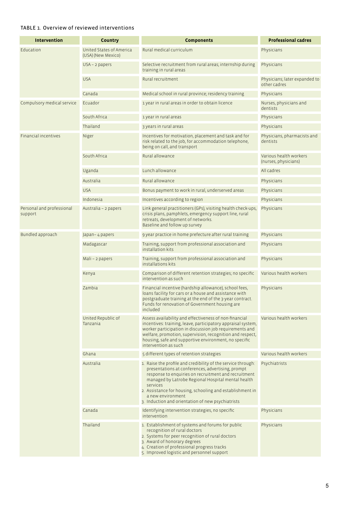# TABLE 1. Overview of reviewed interventions

| <b>Intervention</b>                  | <b>Country</b>                                 | <b>Components</b>                                                                                                                                                                                                                                                                                                                                                                  | <b>Professional cadres</b>                     |  |  |  |
|--------------------------------------|------------------------------------------------|------------------------------------------------------------------------------------------------------------------------------------------------------------------------------------------------------------------------------------------------------------------------------------------------------------------------------------------------------------------------------------|------------------------------------------------|--|--|--|
| Education                            | United States of America<br>(USA) (New Mexico) | Rural medical curriculum                                                                                                                                                                                                                                                                                                                                                           | Physicians                                     |  |  |  |
|                                      | $USA - 2 papers$                               | Selective recruitment from rural areas; internship during<br>training in rural areas                                                                                                                                                                                                                                                                                               | Physicians                                     |  |  |  |
|                                      | <b>USA</b>                                     | Rural recruitment                                                                                                                                                                                                                                                                                                                                                                  | Physicians; later expanded to<br>other cadres  |  |  |  |
|                                      | Canada                                         | Medical school in rural province; residency training                                                                                                                                                                                                                                                                                                                               | Physicians                                     |  |  |  |
| Compulsory medical service           | Fcuador                                        | 1 year in rural areas in order to obtain licence                                                                                                                                                                                                                                                                                                                                   | Nurses, physicians and<br>dentists             |  |  |  |
|                                      | South Africa                                   | 1 year in rural areas                                                                                                                                                                                                                                                                                                                                                              | Physicians                                     |  |  |  |
|                                      | Thailand                                       | 3 years in rural areas                                                                                                                                                                                                                                                                                                                                                             | Physicians                                     |  |  |  |
| <b>Financial incentives</b>          | Niger                                          | Incentives for motivation, placement and task and for<br>risk related to the job, for accommodation telephone,<br>being on call, and transport                                                                                                                                                                                                                                     | Physicians, pharmacists and<br>dentists        |  |  |  |
|                                      | South Africa                                   | Rural allowance                                                                                                                                                                                                                                                                                                                                                                    | Various health workers<br>(nurses, physicians) |  |  |  |
|                                      | Uganda                                         | Lunch allowance                                                                                                                                                                                                                                                                                                                                                                    | All cadres                                     |  |  |  |
|                                      | Australia                                      | Rural allowance                                                                                                                                                                                                                                                                                                                                                                    | Physicians                                     |  |  |  |
|                                      | <b>USA</b>                                     | Bonus payment to work in rural, underserved areas                                                                                                                                                                                                                                                                                                                                  | Physicians                                     |  |  |  |
|                                      | Indonesia                                      | Incentives according to region                                                                                                                                                                                                                                                                                                                                                     | Physicians                                     |  |  |  |
| Personal and professional<br>support | Australia - 2 papers                           | Link general practitioners (GPs), visiting health check-ups,<br>crisis plans, pamphlets, emergency support line, rural<br>retreats, development of networks.<br>Baseline and follow up survey                                                                                                                                                                                      | Physicians                                     |  |  |  |
| Bundled approach                     | Japan-4 papers                                 | 9 year practice in home prefecture after rural training                                                                                                                                                                                                                                                                                                                            | Physicians                                     |  |  |  |
|                                      | Madagascar                                     | Training, support from professional association and<br>installation kits                                                                                                                                                                                                                                                                                                           | Physicians                                     |  |  |  |
|                                      | Mali – 2 papers                                | Training, support from professional association and<br>installations kits                                                                                                                                                                                                                                                                                                          | Physicians                                     |  |  |  |
|                                      | Kenya                                          | Comparison of different retention strategies; no specific<br>intervention as such                                                                                                                                                                                                                                                                                                  | Various health workers                         |  |  |  |
|                                      | Zambia                                         | Financial incentive (hardship allowance), school fees,<br>loans facility for cars or a house and assistance with<br>postgraduate training at the end of the 3-year contract.<br>Funds for renovation of Government housing are<br>included                                                                                                                                         | Physicians                                     |  |  |  |
|                                      | United Republic of<br>Tanzania                 | Assess availability and effectiveness of non-financial<br>incentives: training, leave, participatory appraisal system,<br>worker participation in discussion job requirements and<br>welfare, promotion, supervision, recognition and respect,<br>housing, safe and supportive environment, no specific<br>intervention as such                                                    | Various health workers                         |  |  |  |
|                                      | Ghana                                          | 5 different types of retention strategies                                                                                                                                                                                                                                                                                                                                          | Various health workers                         |  |  |  |
|                                      | Australia                                      | 1. Raise the profile and credibility of the service through:<br>presentations at conferences, advertising, prompt<br>response to enquiries on recruitment and recruitment<br>managed by Latrobe Regional Hospital mental health<br>services<br>2. Assistance for housing, schooling and establishment in<br>a new environment<br>3. Induction and orientation of new psychiatrists | Psychiatrists                                  |  |  |  |
|                                      | Canada                                         | Identifying intervention strategies, no specific<br>intervention                                                                                                                                                                                                                                                                                                                   | Physicians                                     |  |  |  |
|                                      | Thailand                                       | 1. Establishment of systems and forums for public<br>recognition of rural doctors<br>2. Systems for peer recognition of rural doctors<br>3. Award of honorary degrees<br>4. Creation of professional progress tracks<br>5. Improved logistic and personnel support                                                                                                                 | Physicians                                     |  |  |  |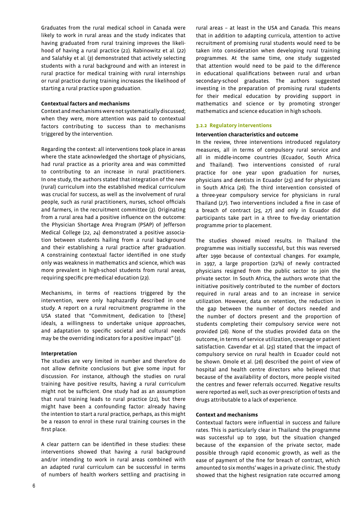Graduates from the rural medical school in Canada were likely to work in rural areas and the study indicates that having graduated from rural training improves the likelihood of having a rural practice (*21*). Rabinowitz et al. (*22*) and Salafsky et al. (*3*) demonstrated that actively selecting students with a rural background and with an interest in rural practice for medical training with rural internships or rural practice during training increases the likelihood of starting a rural practice upon graduation.

### **Contextual factors and mechanisms**

Context and mechanisms were not systematically discussed; when they were, more attention was paid to contextual factors contributing to success than to mechanisms triggered by the intervention.

Regarding the context: all interventions took place in areas where the state acknowledged the shortage of physicians, had rural practice as a priority area and was committed to contributing to an increase in rural practitioners. In one study, the authors stated that integration of the new (rural) curriculum into the established medical curriculum was crucial for success, as well as the involvement of rural people, such as rural practitioners, nurses, school officials and farmers, in the recruitment committee (*3*). Originating from a rural area had a positive influence on the outcome: the Physician Shortage Area Program (PSAP) of Jefferson Medical College (*22*, *24*) demonstrated a positive association between students hailing from a rural background and their establishing a rural practice after graduation. A constraining contextual factor identified in one study only was weakness in mathematics and science, which was more prevalent in high-school students from rural areas, requiring specific pre-medical education (*23*).

Mechanisms, in terms of reactions triggered by the intervention, were only haphazardly described in one study. A report on a rural recruitment programme in the USA stated that "Commitment, dedication to [these] ideals, a willingness to undertake unique approaches, and adaptation to specific societal and cultural needs may be the overriding indicators for a positive impact" (*3*).

#### **Interpretation**

The studies are very limited in number and therefore do not allow definite conclusions but give some input for discussion. For instance, although the studies on rural training have positive results, having a rural curriculum might not be sufficient. One study had as an assumption that rural training leads to rural practice (*21*), but there might have been a confounding factor: already having the intention to start a rural practice, perhaps, as this might be a reason to enrol in these rural training courses in the first place.

A clear pattern can be identified in these studies: these interventions showed that having a rural background and/or intending to work in rural areas combined with an adapted rural curriculum can be successful in terms of numbers of health workers settling and practising in

rural areas – at least in the USA and Canada. This means that in addition to adapting curricula, attention to active recruitment of promising rural students would need to be taken into consideration when developing rural training programmes. At the same time, one study suggested that attention would need to be paid to the difference in educational qualifications between rural and urban secondary-school graduates. The authors suggested investing in the preparation of promising rural students for their medical education by providing support in mathematics and science or by promoting stronger mathematics and science education in high schools.

# **3.2.2 Regulatory interventions**

# **Intervention characteristics and outcome**

In the review, three interventions introduced regulatory measures, all in terms of compulsory rural service and all in middle-income countries (Ecuador, South Africa and Thailand). Two interventions consisted of rural practice for one year upon graduation for nurses, physicians and dentists in Ecuador (*25*) and for physicians in South Africa (*26*). The third intervention consisted of a three-year compulsory service for physicians in rural Thailand (*27*). Two interventions included a fine in case of a breach of contract (*25*, *27*) and only in Ecuador did participants take part in a three to five-day orientation programme prior to placement.

The studies showed mixed results. In Thailand the programme was initially successful, but this was reversed after 1990 because of contextual changes. For example, in 1997, a large proportion (22%) of newly contracted physicians resigned from the public sector to join the private sector. In South Africa, the authors wrote that the initiative positively contributed to the number of doctors required in rural areas and to an increase in service utilization. However, data on retention, the reduction in the gap between the number of doctors needed and the number of doctors present and the proportion of students completing their compulsory service were not provided (*26*). None of the studies provided data on the outcome, in terms of service utilization, coverage or patient satisfaction. Cavendar et al. (*25*) stated that the impact of compulsory service on rural health in Ecuador could not be shown. Omole et al. (*26*) described the point of view of hospital and health centre directors who believed that because of the availability of doctors, more people visited the centres and fewer referrals occurred. Negative results were reported as well, such as over-prescription of tests and drugs attributable to a lack of experience.

#### **Context and mechanisms**

Contextual factors were influential in success and failure rates. This is particularly clear in Thailand: the programme was successful up to 1990, but the situation changed because of the expansion of the private sector, made possible through rapid economic growth, as well as the ease of payment of the fine for breach of contract, which amounted to six months' wages in a private clinic. The study showed that the highest resignation rate occurred among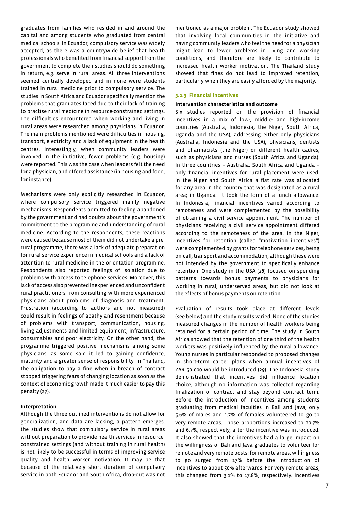graduates from families who resided in and around the capital and among students who graduated from central medical schools. In Ecuador, compulsory service was widely accepted, as there was a countrywide belief that health professionals who benefited from financial support from the government to complete their studies should do something in return, e.g. serve in rural areas. All three interventions seemed centrally developed and in none were students trained in rural medicine prior to compulsory service. The studies in South Africa and Ecuador specifically mention the problems that graduates faced due to their lack of training to practise rural medicine in resource-constrained settings. The difficulties encountered when working and living in rural areas were researched among physicians in Ecuador. The main problems mentioned were difficulties in housing, transport, electricity and a lack of equipment in the health centres. Interestingly, when community leaders were involved in the initiative, fewer problems (e.g. housing) were reported. This was the case when leaders felt the need for a physician, and offered assistance (in housing and food, for instance).

Mechanisms were only explicitly researched in Ecuador, where compulsory service triggered mainly negative mechanisms. Respondents admitted to feeling abandoned by the government and had doubts about the government's commitment to the programme and understanding of rural medicine. According to the respondents, these reactions were caused because most of them did not undertake a prerural programme, there was a lack of adequate preparation for rural service experience in medical schools and a lack of attention to rural medicine in the orientation programme. Respondents also reported feelings of isolation due to problems with access to telephone services. Moreover, this lack of access also prevented inexperienced and unconfident rural practitioners from consulting with more experienced physicians about problems of diagnosis and treatment. Frustration (according to authors and not measured) could result in feelings of apathy and resentment because of problems with transport, communication, housing, living adjustments and limited equipment, infrastructure, consumables and poor electricity. On the other hand, the programme triggered positive mechanisms among some physicians, as some said it led to gaining confidence, maturity and a greater sense of responsibility. In Thailand, the obligation to pay a fine when in breach of contract stopped triggering fears of changing location as soon as the context of economic growth made it much easier to pay this penalty (27).

### **Interpretation**

Although the three outlined interventions do not allow for generalization, and data are lacking, a pattern emerges: the studies show that compulsory service in rural areas without preparation to provide health services in resourceconstrained settings (and without training in rural health) is not likely to be successful in terms of improving service quality and health worker motivation. It may be that because of the relatively short duration of compulsory service in both Ecuador and South Africa, drop-out was not

mentioned as a major problem. The Ecuador study showed that involving local communities in the initiative and having community leaders who feel the need for a physician might lead to fewer problems in living and working conditions, and therefore are likely to contribute to increased health worker motivation. The Thailand study showed that fines do not lead to improved retention, particularly when they are easily afforded by the majority.

#### **3.2.3 Financial incentives**

#### **Intervention characteristics and outcome**

Six studies reported on the provision of financial incentives in a mix of low-, middle- and high-income countries (Australia, Indonesia, the Niger, South Africa, Uganda and the USA), addressing either only physicians (Australia, Indonesia and the USA), physicians, dentists and pharmacists (the Niger) or different health cadres, such as physicians and nurses (South Africa and Uganda). In three countries – Australia, South Africa and Uganda – only financial incentives for rural placement were used: in the Niger and South Africa a flat rate was allocated for any area in the country that was designated as a rural area; in Uganda it took the form of a lunch allowance. In Indonesia, financial incentives varied according to remoteness and were complemented by the possibility of obtaining a civil service appointment. The number of physicians receiving a civil service appointment differed according to the remoteness of the area. In the Niger, incentives for retention (called "motivation incentives") were complemented by grants for telephone services, being on-call, transport and accommodation, although these were not intended by the government to specifically enhance retention. One study in the USA (*28*) focused on spending patterns towards bonus payments to physicians for working in rural, underserved areas, but did not look at the effects of bonus payments on retention.

Evaluation of results took place at different levels (see below) and the study results varied. None of the studies measured changes in the number of health workers being retained for a certain period of time. The study in South Africa showed that the retention of one third of the health workers was positively influenced by the rural allowance. Young nurses in particular responded to proposed changes in short-term career plans when annual incentives of ZAR 50 000 would be introduced (*29*). The Indonesia study demonstrated that incentives did influence location choice, although no information was collected regarding finalization of contract and stay beyond contract term. Before the introduction of incentives among students graduating from medical faculties in Bali and Java, only 5.6% of males and 1.7% of females volunteered to go to very remote areas. Those proportions increased to 20.7% and 6.7%, respectively, after the incentive was introduced. It also showed that the incentives had a large impact on the willingness of Bali and Java graduates to volunteer for remote and very remote posts: for remote areas, willingness to go surged from 17% before the introduction of incentives to about 50% afterwards. For very remote areas, this changed from 3.1% to 17.8%, respectively. Incentives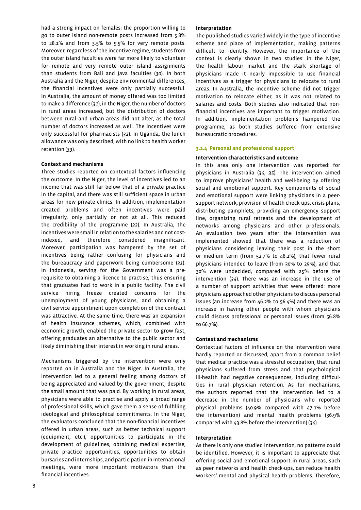had a strong impact on females: the proportion willing to go to outer island non-remote posts increased from 5.8% to 28.1% and from 3.5% to 9.5% for very remote posts. Moreover, regardless of the incentive regime, students from the outer island faculties were far more likely to volunteer for remote and very remote outer island assignments than students from Bali and Java faculties (*30*). In both Australia and the Niger, despite environmental differences, the financial incentives were only partially successful. In Australia, the amount of money offered was too limited to make a difference (*31*); in the Niger, the number of doctors in rural areas increased, but the distribution of doctors between rural and urban areas did not alter, as the total number of doctors increased as well. The incentives were only successful for pharmacists (*32*). In Uganda, the lunch allowance was only described, with no link to health worker retention (*33*).

#### **Context and mechanisms**

Three studies reported on contextual factors influencing the outcome. In the Niger, the level of incentives led to an income that was still far below that of a private practice in the capital, and there was still sufficient space in urban areas for new private clinics. In addition, implementation created problems and often incentives were paid irregularly, only partially or not at all. This reduced the credibility of the programme (*32*). In Australia, the incentives were small in relation to the salaries and not costindexed, and therefore considered insignificant. Moreover, participation was hampered by the set of incentives being rather confusing for physicians and the bureaucracy and paperwork being cumbersome (*31*). In Indonesia, serving for the Government was a prerequisite to obtaining a licence to practise, thus ensuring that graduates had to work in a public facility. The civil service hiring freeze created concerns for the unemployment of young physicians, and obtaining a civil service appointment upon completion of the contract was attractive. At the same time, there was an expansion of health insurance schemes, which, combined with economic growth, enabled the private sector to grow fast, offering graduates an alternative to the public sector and likely diminishing their interest in working in rural areas.

Mechanisms triggered by the intervention were only reported on in Australia and the Niger. In Australia, the intervention led to a general feeling among doctors of being appreciated and valued by the government, despite the small amount that was paid. By working in rural areas, physicians were able to practise and apply a broad range of professional skills, which gave them a sense of fulfilling ideological and philosophical commitments. In the Niger, the evaluators concluded that the non-financial incentives offered in urban areas, such as better technical support (equipment, etc.), opportunities to participate in the development of guidelines, obtaining medical expertise, private practice opportunities, opportunities to obtain bursaries and internships, and participation in international meetings, were more important motivators than the financial incentives.

#### **Interpretation**

The published studies varied widely in the type of incentive scheme and place of implementation, making patterns difficult to identify. However, the importance of the context is clearly shown in two studies: in the Niger, the health labour market and the stark shortage of physicians made it nearly impossible to use financial incentives as a trigger for physicians to relocate to rural areas. In Australia, the incentive scheme did not trigger motivation to relocate either, as it was not related to salaries and costs. Both studies also indicated that nonfinancial incentives are important to trigger motivation. In addition, implementation problems hampered the programme, as both studies suffered from extensive bureaucratic procedures.

#### **3.2.4 Personal and professional support**

#### **Intervention characteristics and outcome**

In this area only one intervention was reported: for physicians in Australia (*34*, *35*). The intervention aimed to improve physicians' health and well-being by offering social and emotional support. Key components of social and emotional support were linking physicians in a peersupport network, provision of health check-ups, crisis plans, distributing pamphlets, providing an emergency support line, organizing rural retreats and the development of networks among physicians and other professionals. An evaluation two years after the intervention was implemented showed that there was a reduction of physicians considering leaving their post in the short or medium term (from 52.7% to 46.1%), that fewer rural physicians intended to leave (from 30% to 25%), and that 30% were undecided, compared with 25% before the intervention (*34*). There was an increase in the use of a number of support activities that were offered: more physicians approached other physicians to discuss personal issues (an increase from 46.2% to 56.4%) and there was an increase in having other people with whom physicians could discuss professional or personal issues (from 56.8% to 66.7%).

#### **Context and mechanisms**

Contextual factors of influence on the intervention were hardly reported or discussed, apart from a common belief that medical practice was a stressful occupation, that rural physicians suffered from stress and that psychological ill-health had negative consequences, including difficulties in rural physician retention. As for mechanisms, the authors reported that the intervention led to a decrease in the number of physicians who reported physical problems (40.9% compared with 47.1% before the intervention) and mental health problems (36.9% compared with 43.8% before the intervention) (*34*).

#### **Interpretation**

As there is only one studied intervention, no patterns could be identified. However, it is important to appreciate that offering social and emotional support in rural areas, such as peer networks and health check-ups, can reduce health workers' mental and physical health problems. Therefore,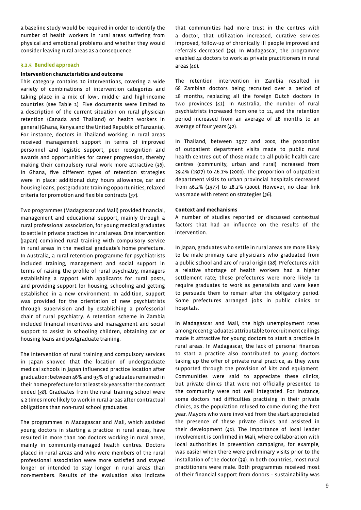a baseline study would be required in order to identify the number of health workers in rural areas suffering from physical and emotional problems and whether they would consider leaving rural areas as a consequence.

### **3.2.5 Bundled approach**

#### **Intervention characteristics and outcome**

This category contains 10 interventions, covering a wide variety of combinations of intervention categories and taking place in a mix of low-, middle- and high-income countries (see Table 1). Five documents were limited to a description of the current situation on rural physician retention (Canada and Thailand) or health workers in general (Ghana, Kenya and the United Republic of Tanzania). For instance, doctors in Thailand working in rural areas received management support in terms of improved personnel and logistic support, peer recognition and awards and opportunities for career progression, thereby making their compulsory rural work more attractive (*36*). In Ghana, five different types of retention strategies were in place: additional duty hours allowance, car and housing loans, postgraduate training opportunities, relaxed criteria for promotion and flexible contracts (*37*).

Two programmes (Madagascar and Mali) provided financial, management and educational support, mainly through a rural professional association, for young medical graduates to settle in private practices in rural areas. One intervention (Japan) combined rural training with compulsory service in rural areas in the medical graduate's home prefecture. In Australia, a rural retention programme for psychiatrists included training, management and social support in terms of raising the profile of rural psychiatry, managers establishing a rapport with applicants for rural posts, and providing support for housing, schooling and getting established in a new environment. In addition, support was provided for the orientation of new psychiatrists through supervision and by establishing a professorial chair of rural psychiatry. A retention scheme in Zambia included financial incentives and management and social support to assist in schooling children, obtaining car or housing loans and postgraduate training.

The intervention of rural training and compulsory services in Japan showed that the location of undergraduate medical schools in Japan influenced practice location after graduation: between 46% and 93% of graduates remained in their home prefecture for at least six years after the contract ended (*38*). Graduates from the rural training school were 4.2 times more likely to work in rural areas after contractual obligations than non-rural school graduates.

The programmes in Madagascar and Mali, which assisted young doctors in starting a practice in rural areas, have resulted in more than 100 doctors working in rural areas, mainly in community-managed health centres. Doctors placed in rural areas and who were members of the rural professional association were more satisfied and stayed longer or intended to stay longer in rural areas than non-members. Results of the evaluation also indicate that communities had more trust in the centres with a doctor, that utilization increased, curative services improved, follow-up of chronically ill people improved and referrals decreased (*39*). In Madagascar, the programme enabled 42 doctors to work as private practitioners in rural areas (*40*).

The retention intervention in Zambia resulted in 68 Zambian doctors being recruited over a period of 18 months, replacing all the foreign Dutch doctors in two provinces (*41*). In Australia, the number of rural psychiatrists increased from one to 11, and the retention period increased from an average of 18 months to an average of four years (*42*).

In Thailand, between 1977 and 2000, the proportion of outpatient department visits made to public rural health centres out of those made to all public health care centres (community, urban and rural) increased from 29.4% (1977) to 46.1% (2000). The proportion of outpatient department visits to urban provincial hospitals decreased from 46.2% (1977) to 18.2% (2000). However, no clear link was made with retention strategies (*36*).

### **Context and mechanisms**

A number of studies reported or discussed contextual factors that had an influence on the results of the intervention.

In Japan, graduates who settle in rural areas are more likely to be male primary care physicians who graduated from a public school and are of rural origin (*38*). Prefectures with a relative shortage of health workers had a higher settlement rate; these prefectures were more likely to require graduates to work as generalists and were keen to persuade them to remain after the obligatory period. Some prefectures arranged jobs in public clinics or hospitals.

In Madagascar and Mali, the high unemployment rates among recent graduates attributable to recruitment ceilings made it attractive for young doctors to start a practice in rural areas. In Madagascar, the lack of personal finances to start a practice also contributed to young doctors taking up the offer of private rural practice, as they were supported through the provision of kits and equipment. Communities were said to appreciate these clinics, but private clinics that were not officially presented to the community were not well integrated. For instance, some doctors had difficulties practising in their private clinics, as the population refused to come during the first year. Mayors who were involved from the start appreciated the presence of these private clinics and assisted in their development (*40*). The importance of local leader involvement is confirmed in Mali, where collaboration with local authorities in prevention campaigns, for example, was easier when there were preliminary visits prior to the installation of the doctor (*39*). In both countries, most rural practitioners were male. Both programmes received most of their financial support from donors – sustainability was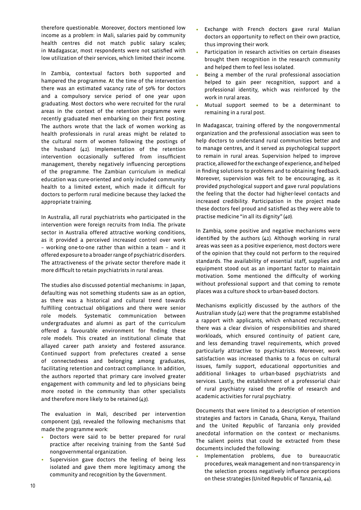therefore questionable. Moreover, doctors mentioned low income as a problem: in Mali, salaries paid by community health centres did not match public salary scales; in Madagascar, most respondents were not satisfied with low utilization of their services, which limited their income.

In Zambia, contextual factors both supported and hampered the programme. At the time of the intervention there was an estimated vacancy rate of 50% for doctors and a compulsory service period of one year upon graduating. Most doctors who were recruited for the rural areas in the context of the retention programme were recently graduated men embarking on their first posting. The authors wrote that the lack of women working as health professionals in rural areas might be related to the cultural norm of women following the postings of the husband (*41*). Implementation of the retention intervention occasionally suffered from insufficient management, thereby negatively influencing perceptions of the programme. The Zambian curriculum in medical education was cure-oriented and only included community health to a limited extent, which made it difficult for doctors to perform rural medicine because they lacked the appropriate training.

In Australia, all rural psychiatrists who participated in the intervention were foreign recruits from India. The private sector in Australia offered attractive working conditions, as it provided a perceived increased control over work – working one-to-one rather than within a team – and it offered exposure to a broader range of psychiatric disorders. The attractiveness of the private sector therefore made it more difficult to retain psychiatrists in rural areas.

The studies also discussed potential mechanisms: in Japan, defaulting was not something students saw as an option, as there was a historical and cultural trend towards fulfilling contractual obligations and there were senior role models. Systematic communication between undergraduates and alumni as part of the curriculum offered a favourable environment for finding these role models. This created an institutional climate that allayed career path anxiety and fostered assurance. Continued support from prefectures created a sense of connectedness and belonging among graduates, facilitating retention and contract compliance. In addition, the authors reported that primary care involved greater engagement with community and led to physicians being more rooted in the community than other specialists and therefore more likely to be retained (*43*).

The evaluation in Mali, described per intervention component (*39*), revealed the following mechanisms that made the programme work:

- Doctors were said to be better prepared for rural practice after receiving training from the Santé Sud nongovernmental organization.
- Supervision gave doctors the feeling of being less isolated and gave them more legitimacy among the community and recognition by the Government.
- Exchange with French doctors gave rural Malian doctors an opportunity to reflect on their own practice, thus improving their work.
- Participation in research activities on certain diseases brought them recognition in the research community and helped them to feel less isolated.
- Being a member of the rural professional association helped to gain peer recognition, support and a professional identity, which was reinforced by the work in rural areas.
- Mutual support seemed to be a determinant to remaining in a rural post.

In Madagascar, training offered by the nongovernmental organization and the professional association was seen to help doctors to understand rural communities better and to manage centres, and it served as psychological support to remain in rural areas. Supervision helped to improve practice, allowed for the exchange of experience, and helped in finding solutions to problems and to obtaining feedback. Moreover, supervision was felt to be encouraging, as it provided psychological support and gave rural populations the feeling that the doctor had higher-level contacts and increased credibility. Participation in the project made these doctors feel proud and satisfied as they were able to practise medicine "in all its dignity" (*40*).

In Zambia, some positive and negative mechanisms were identified by the authors (*41*). Although working in rural areas was seen as a positive experience, most doctors were of the opinion that they could not perform to the required standards. The availability of essential staff, supplies and equipment stood out as an important factor to maintain motivation. Some mentioned the difficulty of working without professional support and that coming to remote places was a culture shock to urban-based doctors.

Mechanisms explicitly discussed by the authors of the Australian study (*42*) were that the programme established a rapport with applicants, which enhanced recruitment; there was a clear division of responsibilities and shared workloads, which ensured continuity of patient care, and less demanding travel requirements, which proved particularly attractive to psychiatrists. Moreover, work satisfaction was increased thanks to a focus on cultural issues, family support, educational opportunities and additional linkages to urban-based psychiatrists and services. Lastly, the establishment of a professorial chair of rural psychiatry raised the profile of research and academic activities for rural psychiatry.

Documents that were limited to a description of retention strategies and factors in Canada, Ghana, Kenya, Thailand and the United Republic of Tanzania only provided anecdotal information on the context or mechanisms. The salient points that could be extracted from these documents included the following:

• Implementation problems, due to bureaucratic procedures, weak management and non-transparency in the selection process negatively influence perceptions on these strategies (United Republic of Tanzania, *44*).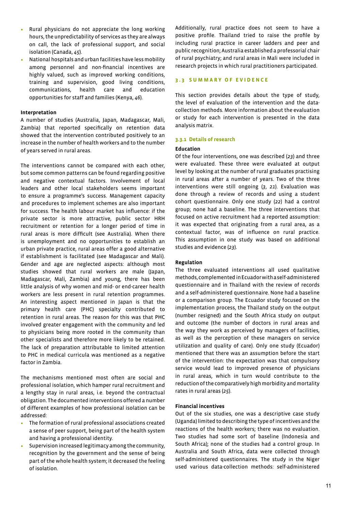- Rural physicians do not appreciate the long working hours, the unpredictability of services as they are always on call, the lack of professional support, and social isolation (Canada, *45*).
- National hospitals and urban facilities have less mobility among personnel and non-financial incentives are highly valued, such as improved working conditions, training and supervision, good living conditions, communications, health care and education opportunities for staff and families (Kenya, *46*).

#### **Interpretation**

A number of studies (Australia, Japan, Madagascar, Mali, Zambia) that reported specifically on retention data showed that the intervention contributed positively to an increase in the number of health workers and to the number of years served in rural areas.

The interventions cannot be compared with each other, but some common patterns can be found regarding positive and negative contextual factors. Involvement of local leaders and other local stakeholders seems important to ensure a programme's success. Management capacity and procedures to implement schemes are also important for success. The health labour market has influence: if the private sector is more attractive, public sector HRH recruitment or retention for a longer period of time in rural areas is more difficult (see Australia). When there is unemployment and no opportunities to establish an urban private practice, rural areas offer a good alternative if establishment is facilitated (see Madagascar and Mali). Gender and age are neglected aspects: although most studies showed that rural workers are male (Japan, Madagascar, Mali, Zambia) and young, there has been little analysis of why women and mid- or end-career health workers are less present in rural retention programmes. An interesting aspect mentioned in Japan is that the primary health care (PHC) specialty contributed to retention in rural areas. The reason for this was that PHC involved greater engagement with the community and led to physicians being more rooted in the community than other specialists and therefore more likely to be retained. The lack of preparation attributable to limited attention to PHC in medical curricula was mentioned as a negative factor in Zambia.

The mechanisms mentioned most often are social and professional isolation, which hamper rural recruitment and a lengthy stay in rural areas, i.e. beyond the contractual obligation. The documented interventions offered a number of different examples of how professional isolation can be addressed:

- The formation of rural professional associations created a sense of peer support, being part of the health system and having a professional identity.
- Supervision increased legitimacy among the community, recognition by the government and the sense of being part of the whole health system; it decreased the feeling of isolation.

Additionally, rural practice does not seem to have a positive profile. Thailand tried to raise the profile by including rural practice in career ladders and peer and public recognition; Australia established a professorial chair of rural psychiatry; and rural areas in Mali were included in research projects in which rural practitioners participated.

#### **3.3 S ummary o f e v i d e n c e**

This section provides details about the type of study, the level of evaluation of the intervention and the datacollection methods. More information about the evaluation or study for each intervention is presented in the data analysis matrix.

#### **3.3.1 Details of research**

# **Education**

Of the four interventions, one was described (*23*) and three were evaluated. These three were evaluated at output level by looking at the number of rural graduates practising in rural areas after a number of years. Two of the three interventions were still ongoing (*3*, *21*). Evaluation was done through a review of records and using a student cohort questionnaire. Only one study (*22*) had a control group; none had a baseline. The three interventions that focused on active recruitment had a reported assumption: it was expected that originating from a rural area, as a contextual factor, was of influence on rural practice. This assumption in one study was based on additional studies and evidence (*23*).

# **Regulation**

The three evaluated interventions all used qualitative methods, complemented in Ecuador with a self-administered questionnaire and in Thailand with the review of records and a self-administered questionnaire. None had a baseline or a comparison group. The Ecuador study focused on the implementation process, the Thailand study on the output (number resigned) and the South Africa study on output and outcome (the number of doctors in rural areas and the way they work as perceived by managers of facilities, as well as the perception of these managers on service utilization and quality of care). Only one study (Ecuador) mentioned that there was an assumption before the start of the intervention: the expectation was that compulsory service would lead to improved presence of physicians in rural areas, which in turn would contribute to the reduction of the comparatively high morbidity and mortality rates in rural areas (*25*).

#### **Financial incentives**

Out of the six studies, one was a descriptive case study (Uganda) limited to describing the type of incentives and the reactions of the health workers; there was no evaluation. Two studies had some sort of baseline (Indonesia and South Africa); none of the studies had a control group. In Australia and South Africa, data were collected through self-administered questionnaires. The study in the Niger used various data-collection methods: self-administered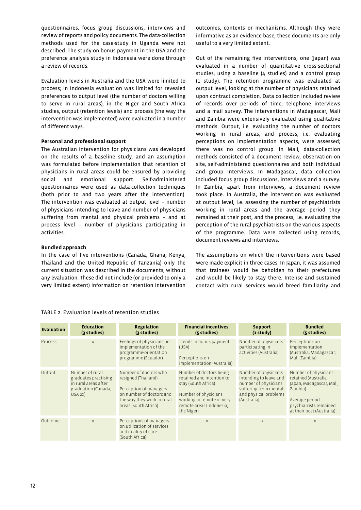questionnaires, focus group discussions, interviews and review of reports and policy documents. The data-collection methods used for the case-study in Uganda were not described. The study on bonus payment in the USA and the preference analysis study in Indonesia were done through a review of records.

Evaluation levels in Australia and the USA were limited to process; in Indonesia evaluation was limited for revealed preferences to output level (the number of doctors willing to serve in rural areas); in the Niger and South Africa studies, output (retention levels) and process (the way the intervention was implemented) were evaluated in a number of different ways.

#### **Personal and professional support**

The Australian intervention for physicians was developed on the results of a baseline study, and an assumption was formulated before implementation that retention of physicians in rural areas could be ensured by providing social and emotional support. Self-administered questionnaires were used as data-collection techniques (both prior to and two years after the intervention). The intervention was evaluated at output level – number of physicians intending to leave and number of physicians suffering from mental and physical problems – and at process level – number of physicians participating in activities.

# **Bundled approach**

In the case of five interventions (Canada, Ghana, Kenya, Thailand and the United Republic of Tanzania) only the current situation was described in the documents, without any evaluation. These did not include (or provided to only a very limited extent) information on retention intervention

outcomes, contexts or mechanisms. Although they were informative as an evidence base, these documents are only useful to a very limited extent.

Out of the remaining five interventions, one (Japan) was evaluated in a number of quantitative cross-sectional studies, using a baseline (4 studies) and a control group (1 study). The retention programme was evaluated at output level, looking at the number of physicians retained upon contract completion. Data collection included review of records over periods of time, telephone interviews and a mail survey. The interventions in Madagascar, Mali and Zambia were extensively evaluated using qualitative methods. Output, i.e. evaluating the number of doctors working in rural areas, and process, i.e. evaluating perceptions on implementation aspects, were assessed; there was no control group. In Mali, data-collection methods consisted of a document review, observation on site, self-administered questionnaires and both individual and group interviews. In Madagascar, data collection included focus group discussions, interviews and a survey. In Zambia, apart from interviews, a document review took place. In Australia, the intervention was evaluated at output level, i.e. assessing the number of psychiatrists working in rural areas and the average period they remained at their post, and the process, i.e. evaluating the perception of the rural psychiatrists on the various aspects of the programme. Data were collected using records, document reviews and interviews.

The assumptions on which the interventions were based were made explicit in three cases. In Japan, it was assumed that trainees would be beholden to their prefectures and would be likely to stay there. Intense and sustained contact with rural services would breed familiarity and

| <b>Evaluation</b> | <b>Education</b><br>(3 studies)                                                                   | <b>Regulation</b><br>(3 studies)                                                                                                                         | <b>Financial incentives</b><br>(5 studies)                                                                                                                                 | <b>Support</b><br>$(i$ study $)$                                                                                                        | <b>Bundled</b><br>(5 studies)                                                                                                                                |  |  |  |  |
|-------------------|---------------------------------------------------------------------------------------------------|----------------------------------------------------------------------------------------------------------------------------------------------------------|----------------------------------------------------------------------------------------------------------------------------------------------------------------------------|-----------------------------------------------------------------------------------------------------------------------------------------|--------------------------------------------------------------------------------------------------------------------------------------------------------------|--|--|--|--|
| Process           | $\times$                                                                                          | Feelings of physicians on<br>implementation of the<br>programme-orientation<br>programme (Ecuador)                                                       | Trends in bonus payment<br>(USA)<br>Perceptions on<br>implementation (Australia)                                                                                           | Number of physicians<br>participating in<br>activities (Australia)                                                                      | Perceptions on<br>implementation<br>(Australia, Madagascar,<br>Mali, Zambia)                                                                                 |  |  |  |  |
| Output            | Number of rural<br>graduates practising<br>in rural areas after<br>graduation (Canada,<br>USA 2X) | Number of doctors who<br>resigned (Thailand)<br>Perception of managers<br>on number of doctors and<br>the way they work in rural<br>areas (South Africa) | Number of doctors being<br>retained and intention to<br>stay (South Africa)<br>Number of physicians<br>working in remote or very<br>remote areas (Indonesia,<br>the Niger) | Number of physicians<br>intending to leave and<br>number of physicians<br>suffering from mental<br>and physical problems<br>(Australia) | Number of physicians<br>retained (Australia,<br>Japan, Madagascar, Mali,<br>Zambia)<br>Average period<br>psychiatrists remained<br>at their post (Australia) |  |  |  |  |
| Outcome           | $\times$                                                                                          | Perceptions of managers<br>on utilization of services<br>and quality of care<br>(South Africa)                                                           | $\times$                                                                                                                                                                   | $\mathsf{X}$                                                                                                                            | $\times$                                                                                                                                                     |  |  |  |  |

# Table 2. Evaluation levels of retention studies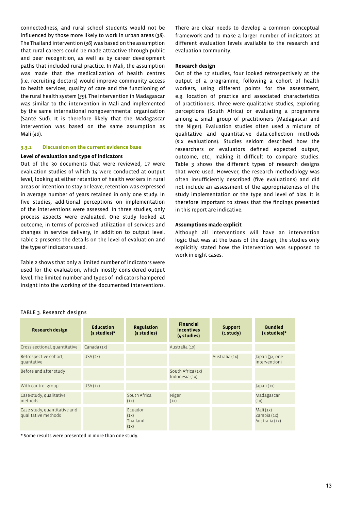connectedness, and rural school students would not be influenced by those more likely to work in urban areas (*38*). The Thailand intervention (*36*) was based on the assumption that rural careers could be made attractive through public and peer recognition, as well as by career development paths that included rural practice. In Mali, the assumption was made that the medicalization of health centres (i.e. recruiting doctors) would improve community access to health services, quality of care and the functioning of the rural health system (*39*). The intervention in Madagascar was similar to the intervention in Mali and implemented by the same international nongovernmental organization (Santé Sud). It is therefore likely that the Madagascar intervention was based on the same assumption as Mali (*40*).

# **3.3.2 Discussion on the current evidence base**

# **Level of evaluation and type of indicators**

Out of the 30 documents that were reviewed, 17 were evaluation studies of which 14 were conducted at output level, looking at either retention of health workers in rural areas or intention to stay or leave; retention was expressed in average number of years retained in only one study. In five studies, additional perceptions on implementation of the interventions were assessed. In three studies, only process aspects were evaluated. One study looked at outcome, in terms of perceived utilization of services and changes in service delivery, in addition to output level. Table 2 presents the details on the level of evaluation and the type of indicators used.

Table 2 shows that only a limited number of indicators were used for the evaluation, which mostly considered output level. The limited number and types of indicators hampered insight into the working of the documented interventions. There are clear needs to develop a common conceptual framework and to make a larger number of indicators at different evaluation levels available to the research and evaluation community.

#### **Research design**

Out of the 17 studies, four looked retrospectively at the output of a programme, following a cohort of health workers, using different points for the assessment, e.g. location of practice and associated characteristics of practitioners. Three were qualitative studies, exploring perceptions (South Africa) or evaluating a programme among a small group of practitioners (Madagascar and the Niger). Evaluation studies often used a mixture of qualitative and quantitative data-collection methods (six evaluations). Studies seldom described how the researchers or evaluators defined expected output, outcome, etc., making it difficult to compare studies. Table 3 shows the different types of research designs that were used. However, the research methodology was often insufficiently described (five evaluations) and did not include an assessment of the appropriateness of the study implementation or the type and level of bias. It is therefore important to stress that the findings presented in this report are indicative.

#### **Assumptions made explicit**

Although all interventions will have an intervention logic that was at the basis of the design, the studies only explicitly stated how the intervention was supposed to work in eight cases.

| <b>Research design</b>                              | <b>Education</b><br>$(3$ studies)* | <b>Regulation</b><br>(3 studies)            | <b>Financial</b><br>incentives<br>(4 studies) | <b>Support</b><br>$(i$ study $)$ | <b>Bundled</b><br>$(s$ studies)*          |
|-----------------------------------------------------|------------------------------------|---------------------------------------------|-----------------------------------------------|----------------------------------|-------------------------------------------|
|                                                     | Canada (1x)                        |                                             | Australia (1x)                                |                                  |                                           |
| Cross-sectional, quantitative                       |                                    |                                             |                                               |                                  |                                           |
| Retrospective cohort,<br>quantative                 | USA(2x)                            |                                             |                                               | Australia (1x)                   | Japan (3x, one<br>intervention)           |
| Before and after study                              |                                    |                                             | South Africa (1x)<br>Indonesia (1x)           |                                  |                                           |
| With control group                                  | USA (1x)                           |                                             |                                               |                                  | Japan(x)                                  |
| Case-study, qualitative<br>methods                  |                                    | South Africa<br>(1x)                        | Niger<br>(1x)                                 |                                  | Madagascar<br>(1x)                        |
| Case-study, quantitative and<br>qualitative methods |                                    | <b>F</b> cuador<br>(1x)<br>Thailand<br>(1x) |                                               |                                  | Mali(1x)<br>Zambia (1x)<br>Australia (1x) |

#### TABLE 3. Research designs

\* Some results were presented in more than one study.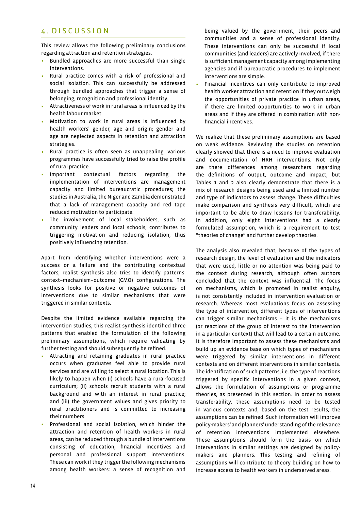# 4 . D isc u ssion

This review allows the following preliminary conclusions regarding attraction and retention strategies.

- Bundled approaches are more successful than single interventions.
- Rural practice comes with a risk of professional and social isolation. This can successfully be addressed through bundled approaches that trigger a sense of belonging, recognition and professional identity.
- Attractiveness of work in rural areas is influenced by the health labour market.
- Motivation to work in rural areas is influenced by health workers' gender, age and origin; gender and age are neglected aspects in retention and attraction strategies.
- Rural practice is often seen as unappealing; various programmes have successfully tried to raise the profile of rural practice.
- Important contextual factors regarding the implementation of interventions are management capacity and limited bureaucratic procedures; the studies in Australia, the Niger and Zambia demonstrated that a lack of management capacity and red tape reduced motivation to participate.
- The involvement of local stakeholders, such as community leaders and local schools, contributes to triggering motivation and reducing isolation, thus positively influencing retention.

Apart from identifying whether interventions were a success or a failure and the contributing contextual factors, realist synthesis also tries to identify patterns: context–mechanism–outcome (CMO) configurations. The synthesis looks for positive or negative outcomes of interventions due to similar mechanisms that were triggered in similar contexts.

Despite the limited evidence available regarding the intervention studies, this realist synthesis identified three patterns that enabled the formulation of the following preliminary assumptions, which require validating by further testing and should subsequently be refined.

- Attracting and retaining graduates in rural practice occurs when graduates feel able to provide rural services and are willing to select a rural location. This is likely to happen when (i) schools have a rural-focused curriculum; (ii) schools recruit students with a rural background and with an interest in rural practice; and (iii) the government values and gives priority to rural practitioners and is committed to increasing their numbers.
- Professional and social isolation, which hinder the attraction and retention of health workers in rural areas, can be reduced through a bundle of interventions consisting of education, financial incentives and personal and professional support interventions. These can work if they trigger the following mechanisms among health workers: a sense of recognition and

being valued by the government, their peers and communities and a sense of professional identity. These interventions can only be successful if local communities (and leaders) are actively involved, if there is sufficient management capacity among implementing agencies and if bureaucratic procedures to implement interventions are simple.

• Financial incentives can only contribute to improved health worker attraction and retention if they outweigh the opportunities of private practice in urban areas, if there are limited opportunities to work in urban areas and if they are offered in combination with nonfinancial incentives.

We realize that these preliminary assumptions are based on weak evidence. Reviewing the studies on retention clearly showed that there is a need to improve evaluation and documentation of HRH interventions. Not only are there differences among researchers regarding the definitions of output, outcome and impact, but Tables 1 and 2 also clearly demonstrate that there is a mix of research designs being used and a limited number and type of indicators to assess change. These difficulties make comparison and synthesis very difficult, which are important to be able to draw lessons for transferability. In addition, only eight interventions had a clearly formulated assumption, which is a requirement to test "theories of change" and further develop theories.

The analysis also revealed that, because of the types of research design, the level of evaluation and the indicators that were used, little or no attention was being paid to the context during research, although often authors concluded that the context was influential. The focus on mechanisms, which is promoted in realist enquiry, is not consistently included in intervention evaluation or research. Whereas most evaluations focus on assessing the type of intervention, different types of interventions can trigger similar mechanisms – it is the mechanisms (or reactions of the group of interest to the intervention in a particular context) that will lead to a certain outcome. It is therefore important to assess these mechanisms and build up an evidence base on which types of mechanisms were triggered by similar interventions in different contexts and on different interventions in similar contexts. The identification of such patterns, i.e. the type of reactions triggered by specific interventions in a given context, allows the formulation of assumptions or programme theories, as presented in this section. In order to assess transferability, these assumptions need to be tested in various contexts and, based on the test results, the assumptions can be refined. Such information will improve policy-makers' and planners' understanding of the relevance of retention interventions implemented elsewhere. These assumptions should form the basis on which interventions in similar settings are designed by policymakers and planners. This testing and refining of assumptions will contribute to theory building on how to increase access to health workers in underserved areas.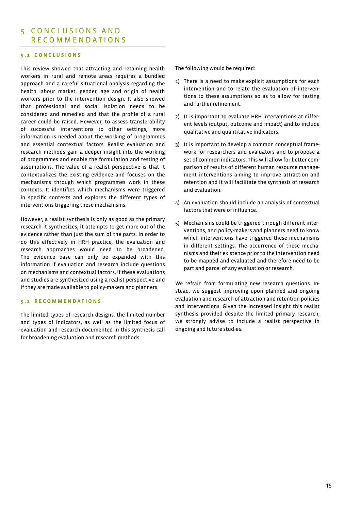# 5 . C oncl u sions and recommendations

## **5.1 Co nclusi o n s**

This review showed that attracting and retaining health workers in rural and remote areas requires a bundled approach and a careful situational analysis regarding the health labour market, gender, age and origin of health workers prior to the intervention design. It also showed that professional and social isolation needs to be considered and remedied and that the profile of a rural career could be raised. However, to assess transferability of successful interventions to other settings, more information is needed about the working of programmes and essential contextual factors. Realist evaluation and research methods gain a deeper insight into the working of programmes and enable the formulation and testing of assumptions. The value of a realist perspective is that it contextualizes the existing evidence and focuses on the mechanisms through which programmes work in these contexts. It identifies which mechanisms were triggered in specific contexts and explores the different types of interventions triggering these mechanisms.

However, a realist synthesis is only as good as the primary research it synthesizes; it attempts to get more out of the evidence rather than just the sum of the parts. In order to do this effectively in HRH practice, the evaluation and research approaches would need to be broadened. The evidence base can only be expanded with this information if evaluation and research include questions on mechanisms and contextual factors, if these evaluations and studies are synthesized using a realist perspective and if they are made available to policy-makers and planners.

# **5.2 R e c o mmendati o n s**

The limited types of research designs, the limited number and types of indicators, as well as the limited focus of evaluation and research documented in this synthesis call for broadening evaluation and research methods.

The following would be required:

- 1) There is a need to make explicit assumptions for each intervention and to relate the evaluation of interventions to these assumptions so as to allow for testing and further refinement.
- 2) It is important to evaluate HRH interventions at different levels (output, outcome and impact) and to include qualitative and quantitative indicators.
- 3) It is important to develop a common conceptual framework for researchers and evaluators and to propose a set of common indicators. This will allow for better comparison of results of different human resource management interventions aiming to improve attraction and retention and it will facilitate the synthesis of research and evaluation.
- 4) An evaluation should include an analysis of contextual factors that were of influence.
- 5) Mechanisms could be triggered through different interventions, and policy-makers and planners need to know which interventions have triggered these mechanisms in different settings. The occurrence of these mechanisms and their existence prior to the intervention need to be mapped and evaluated and therefore need to be part and parcel of any evaluation or research.

We refrain from formulating new research questions. Instead, we suggest improving upon planned and ongoing evaluation and research of attraction and retention policies and interventions. Given the increased insight this realist synthesis provided despite the limited primary research, we strongly advise to include a realist perspective in ongoing and future studies.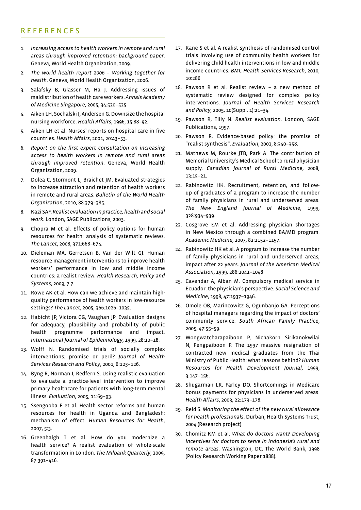# **REFERENCES**

- 1. *Increasing access to health workers in remote and rural areas through improved retention: background paper*. Geneva, World Health Organization, 2009.
- 2. *The world health report 2006 Working together for health*. Geneva, World Health Organization, 2006.
- 3. Salafsky B, Glasser M, Ha J. Addressing issues of maldistribution of health care workers. *Annals Academy of Medicine Singapore*, 2005, 34:520–525.
- 4. Aiken LH, Sochalski J, Andersen G. Downsize the hospital nursing workforce. *Health Affairs*, 1996, 15:88–92.
- 5. Aiken LH et al. Nurses' reports on hospital care in five countries. *Health Affairs*, 2001, 20:43–53.
- 6. *Report on the first expert consultation on increasing access to health workers in remote and rural areas through improved retention*. Geneva, World Health Organization, 2009.
- 7. Dolea C, Stormont L, Braichet JM. Evaluated strategies to increase attraction and retention of health workers in remote and rural areas. *Bulletin of the World Health Organization*, 2010, 88:379–385.
- 8. Kazi SAF. *Realist evaluation in practice, health and social work*. London, SAGE Publications, 2003.
- 9. Chopra M et al. Effects of policy options for human resources for health: analysis of systematic reviews. *The Lancet*, 2008, 371:668–674.
- 10. Dieleman MA, Gerretsen B, Van der Wilt GJ. Human resource management interventions to improve health workers' performance in low and middle income countries: a realist review. *Health Research, Policy and Systems*, 2009, 7:7.
- 11. Rowe AK et al. How can we achieve and maintain highquality performance of health workers in low-resource settings? *The Lancet*, 2005, 366:1026–1035.
- 12. Habicht JP, Victora CG, Vaughan JP. Evaluation designs for adequacy, plausibility and probability of public health programme performance and impact. *International Journal of Epidemiology*, 1999, 28:10–18.
- 13. Wolff N. Randomised trials of socially complex interventions: promise or peril? *Journal of Health Services Research and Policy*, 2001, 6:123–126.
- 14. Byng R, Norman I, Redfern S. Using realistic evaluation to evaluate a practice-level intervention to improve primary healthcare for patients with long-term mental illness. *Evaluation*, 2005, 11:69–93.
- 15. Ssengooba F et al. Health sector reforms and human resources for health in Uganda and Bangladesh: mechanism of effect. *Human Resources for Health*, 2007, 5:3.
- 16. Greenhalgh T et al. How do you modernize a health service? A realist evaluation of whole-scale transformation in London. *The Milbank Quarterly*, 2009, 87:391–416.
- 17. Kane S et al. A realist synthesis of randomised control trials involving use of community health workers for delivering child health interventions in low and middle income countries. *BMC Health Services Research*, 2010, 10:286
- 18. Pawson R et al. Realist review a new method of systematic review designed for complex policy interventions. *Journal of Health Services Research and Policy*, 2005, 10(Suppl. 1):21–34.
- 19. Pawson R, Tilly N. *Realist evaluation*. London, SAGE Publications, 1997.
- 20. Pawson R. Evidence-based policy: the promise of "realist synthesis". *Evaluation*, 2002, 8:340–358.
- 21. Mathews M, Rourke JTB, Park A. The contribution of Memorial University's Medical School to rural physician supply. *Canadian Journal of Rural Medicine*, 2008, 13:15–21.
- 22. Rabinowitz HK. Recruitment, retention, and followup of graduates of a program to increase the number of family physicians in rural and underserved areas. *The New England Journal of Medicine*, 1999, 328:934–939.
- 23. Cosgrove EM et al. Addressing physician shortages in New Mexico through a combined BA/MD program. *Academic Medicine*, 2007, 82:1152–1157.
- 24. Rabinowitz HK et al. A program to increase the number of family physicians in rural and underserved areas; impact after 22 years. *Journal of the American Medical Association*, 1999, 286:1041–1048
- 25. Cavendar A, Alban M. Compulsory medical service in Ecuador: the physician's perspective. *Social Science and Medicine*, 1998, 47:1937–1946.
- 26. Omole OB, Marincowitz G, Ogunbanjo GA. Perceptions of hospital managers regarding the impact of doctors' community service. *South African Family Practice*, 2005, 47:55–59.
- 27. Wongwatcharapaiboon P, Nichakorn Sirikanokwilai N, Pengpaiboon P. The 1997 massive resignation of contracted new medical graduates from the Thai Ministry of Public Health: what reasons behind? *Human Resources for Health Development Journal*, 1999, 3:147–156.
- 28. Shugarman LR, Farley DO. Shortcomings in Medicare bonus payments for physicians in underserved areas. *Health Affairs*, 2003, 22:173–178.
- 29. Reid S. *Monitoring the effect of the new rural allowance for health professionals*. Durban, Health Systems Trust, 2004 (Research project).
- 30. Chomitz KM et al. *What do doctors want? Developing incentives for doctors to serve in Indonesia's rural and remote areas*. Washington, DC, The World Bank, 1998 (Policy Research Working Paper 1888).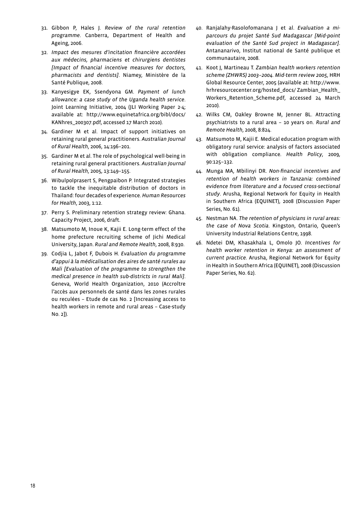- 31. Gibbon P, Hales J. *Review of the rural retention programme*. Canberra, Department of Health and Ageing, 2006.
- 32. *Impact des mesures d'incitation financière accordées aux médecins, pharmaciens et chirurgiens dentistes [Impact of financial incentive measures for doctors, pharmacists and dentists]*. Niamey, Ministère de la Santé Publique, 2008.
- 33. Kanyesigye EK, Ssendyona GM. *Payment of lunch allowance: a case study of the Uganda health service*. Joint Learning Initiative, 2004 (JLI Working Paper 2-4; available at: http://www.equinetafrica.org/bibl/docs/ KANhres\_200307.pdf, accessed 17 March 2010).
- 34. Gardiner M et al. Impact of support initiatives on retaining rural general practitioners. *Australian Journal of Rural Health*, 2006, 14:196–201.
- 35. Gardiner M et al. The role of psychological well-being in retaining rural general practitioners. *Australian Journal of Rural Health*, 2005, 13:149–155.
- 36. Wibulpolprasert S, Pengpaibon P. Integrated strategies to tackle the inequitable distribution of doctors in Thailand: four decades of experience. *Human Resources for Health*, 2003, 1:12.
- 37. Perry S. Preliminary retention strategy review: Ghana. Capacity Project, 2006, draft.
- 38. Matsumoto M, Inoue K, Kajii E. Long-term effect of the home prefecture recruiting scheme of Jichi Medical University, Japan. *Rural and Remote Health*, 2008, 8:930.
- 39. Codjia L, Jabot F, Dubois H. *Evaluation du programme d'appui à la médicalisation des aires de santé rurales au Mali [Evaluation of the programme to strengthen the medical presence in health sub-districts in rural Mali]*. Geneva, World Health Organization, 2010 (Accroître l'accès aux personnels de santé dans les zones rurales ou reculées – Etude de cas No. 2 [Increasing access to health workers in remote and rural areas – Case-study No. 2]).
- 40. Ranjalahy-Rasolofomanana J et al. *Evaluation a miparcours du projet Santé Sud Madagascar [Mid-point evaluation of the Santé Sud project in Madagascar]*. Antananarivo, Institut national de Santé publique et communautaire, 2008.
- 41. Koot J, Martineau T. *Zambian health workers retention scheme (ZHWRS) 2003–2004. Mid-term review 2005*, HRH Global Resource Center, 2005 (available at: http://www. hrhresourcecenter.org/hosted\_docs/ Zambian\_Health Workers\_Retention\_Scheme.pdf, accessed 24 March 2010).
- 42. Wilks CM, Oakley Browne M, Jenner BL. Attracting psychiatrists to a rural area – 10 years on. *Rural and Remote Health*, 2008, 8:824.
- 43. Matsumoto M, Kajii E. Medical education program with obligatory rural service: analysis of factors associated with obligation compliance. *Health Policy*, 2009, 90:125–132.
- 44. Munga MA, Mbilinyi DR. *Non-financial incentives and retention of health workers in Tanzania: combined evidence from literature and a focused cross-sectional study*. Arusha, Regional Network for Equity in Health in Southern Africa (EQUINET), 2008 (Discussion Paper Series, No. 61).
- 45. Nestman NA. *The retention of physicians in rural areas: the case of Nova Scotia*. Kingston, Ontario, Queen's University Industrial Relations Centre, 1998.
- 46. Ndetei DM, Khasakhala L, Omolo JO. *Incentives for health worker retention in Kenya: an assessment of current practice*. Arusha, Regional Network for Equity in Health in Southern Africa (EQUINET), 2008 (Discussion Paper Series, No. 62).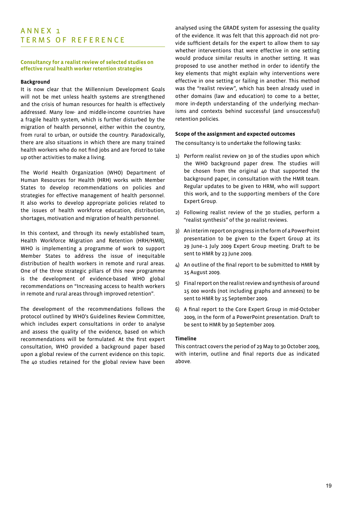# **Consultancy for a realist review of selected studies on effective rural health worker retention strategies**

### **Background**

It is now clear that the Millennium Development Goals will not be met unless health systems are strengthened and the crisis of human resources for health is effectively addressed. Many low- and middle-income countries have a fragile health system, which is further disturbed by the migration of health personnel, either within the country, from rural to urban, or outside the country. Paradoxically, there are also situations in which there are many trained health workers who do not find jobs and are forced to take up other activities to make a living.

The World Health Organization (WHO) Department of Human Resources for Health (HRH) works with Member States to develop recommendations on policies and strategies for effective management of health personnel. It also works to develop appropriate policies related to the issues of health workforce education, distribution, shortages, motivation and migration of health personnel.

In this context, and through its newly established team, Health Workforce Migration and Retention (HRH/HMR), WHO is implementing a programme of work to support Member States to address the issue of inequitable distribution of health workers in remote and rural areas. One of the three strategic pillars of this new programme is the development of evidence-based WHO global recommendations on "Increasing access to health workers in remote and rural areas through improved retention".

The development of the recommendations follows the protocol outlined by WHO's Guidelines Review Committee, which includes expert consultations in order to analyse and assess the quality of the evidence, based on which recommendations will be formulated. At the first expert consultation, WHO provided a background paper based upon a global review of the current evidence on this topic. The 40 studies retained for the global review have been analysed using the GRADE system for assessing the quality of the evidence. It was felt that this approach did not provide sufficient details for the expert to allow them to say whether interventions that were effective in one setting would produce similar results in another setting. It was proposed to use another method in order to identify the key elements that might explain why interventions were effective in one setting or failing in another. This method was the "realist review", which has been already used in other domains (law and education) to come to a better, more in-depth understanding of the underlying mechanisms and contexts behind successful (and unsuccessful) retention policies.

#### **Scope of the assignment and expected outcomes**

The consultancy is to undertake the following tasks:

- 1) Perform realist review on 30 of the studies upon which the WHO background paper drew. The studies will be chosen from the original 40 that supported the background paper, in consultation with the HMR team. Regular updates to be given to HRM, who will support this work, and to the supporting members of the Core Expert Group.
- 2) Following realist review of the 30 studies, perform a "realist synthesis" of the 30 realist reviews.
- 3) An interim report on progress in the form of a PowerPoint presentation to be given to the Expert Group at its 29 June–1 July 2009 Expert Group meeting. Draft to be sent to HMR by 23 June 2009.
- 4) An outline of the final report to be submitted to HMR by 15 August 2009.
- 5) Final report on the realist review and synthesis of around 15 000 words (not including graphs and annexes) to be sent to HMR by 15 September 2009.
- 6) A final report to the Core Expert Group in mid-October 2009, in the form of a PowerPoint presentation. Draft to be sent to HMR by 30 September 2009.

#### **Timeline**

This contract covers the period of 29 May to 30 October 2009, with interim, outline and final reports due as indicated above.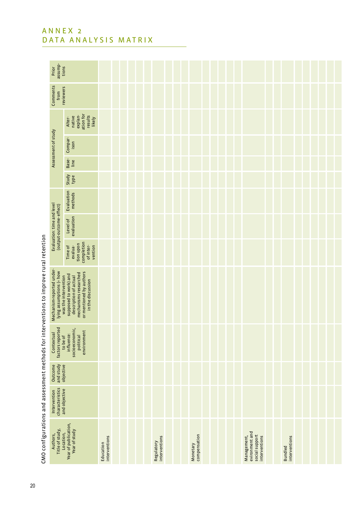|  | assump-<br>Prior<br>tions                                                     |                                                                                                                         |                            |  |                             |  |                          |  |  |                                                                  |                                 |  |  |
|--|-------------------------------------------------------------------------------|-------------------------------------------------------------------------------------------------------------------------|----------------------------|--|-----------------------------|--|--------------------------|--|--|------------------------------------------------------------------|---------------------------------|--|--|
|  | Comments<br>reviewers<br>from                                                 |                                                                                                                         |                            |  |                             |  |                          |  |  |                                                                  |                                 |  |  |
|  |                                                                               | ation for<br>explan-<br>results<br>native<br>likely<br>Alter-                                                           |                            |  |                             |  |                          |  |  |                                                                  |                                 |  |  |
|  | Assessment of study                                                           | Compar-<br>ison                                                                                                         |                            |  |                             |  |                          |  |  |                                                                  |                                 |  |  |
|  |                                                                               | Base-<br>line                                                                                                           |                            |  |                             |  |                          |  |  |                                                                  |                                 |  |  |
|  |                                                                               | Study<br>type                                                                                                           |                            |  |                             |  |                          |  |  |                                                                  |                                 |  |  |
|  |                                                                               | Evaluation<br>methods                                                                                                   |                            |  |                             |  |                          |  |  |                                                                  |                                 |  |  |
|  | Evaluation: time and level<br>(output-outcome- effect)                        | evaluation<br>Level of                                                                                                  |                            |  |                             |  |                          |  |  |                                                                  |                                 |  |  |
|  |                                                                               | tion upon<br>completion<br>of inter-<br>vention<br><b>Time of</b><br>evalua-                                            |                            |  |                             |  |                          |  |  |                                                                  |                                 |  |  |
|  | Mechanism-reported under-<br>lying assumptions (= how<br>was the intervention | or mentioned by authors<br>mechanisms researched<br>supposed to work) and<br>description of actual<br>in the discussion |                            |  |                             |  |                          |  |  |                                                                  |                                 |  |  |
|  | Contextual<br>factors reported<br>to be of                                    | influence:<br>socioeconomic,<br>political<br>environment                                                                |                            |  |                             |  |                          |  |  |                                                                  |                                 |  |  |
|  | Outcome<br>and study<br>objective                                             |                                                                                                                         |                            |  |                             |  |                          |  |  |                                                                  |                                 |  |  |
|  | Intervention<br>characteristics<br>and objective                              |                                                                                                                         |                            |  |                             |  |                          |  |  |                                                                  |                                 |  |  |
|  | Authors,<br>Title of study,<br>Location,                                      | Year of publication,<br>Year of study                                                                                   | interventions<br>Education |  | interventions<br>Regulatory |  | compensation<br>Monetary |  |  | evironment and<br>social support<br>interventions<br>Management, | interventions<br><b>Bundled</b> |  |  |

CMO configurations and assessment methods for interventions to improve rural retention CMO configurations and assessment methods for interventions to improve rural retention

# ANNEX<sub>2</sub> DATA ANALYSIS M